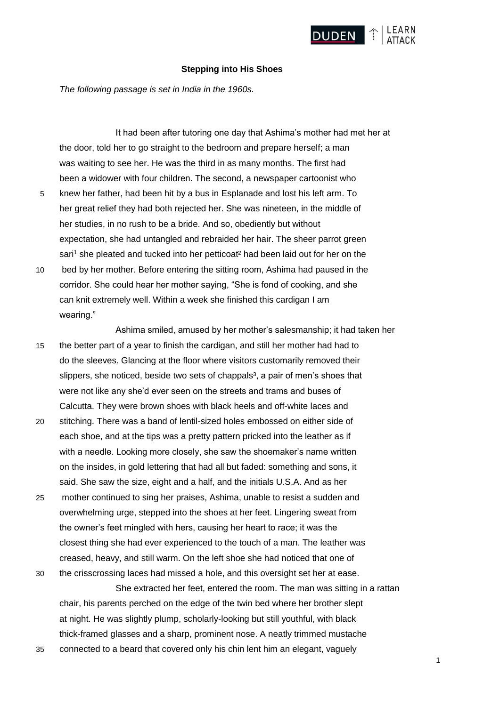

## **Stepping into His Shoes**

*The following passage is set in India in the 1960s.*

 It had been after tutoring one day that Ashima's mother had met her at the door, told her to go straight to the bedroom and prepare herself; a man was waiting to see her. He was the third in as many months. The first had been a widower with four children. The second, a newspaper cartoonist who

- 5 knew her father, had been hit by a bus in Esplanade and lost his left arm. To her great relief they had both rejected her. She was nineteen, in the middle of her studies, in no rush to be a bride. And so, obediently but without expectation, she had untangled and rebraided her hair. The sheer parrot green sari<sup>1</sup> she pleated and tucked into her petticoat<sup>2</sup> had been laid out for her on the
- 10 bed by her mother. Before entering the sitting room, Ashima had paused in the corridor. She could hear her mother saying, "She is fond of cooking, and she can knit extremely well. Within a week she finished this cardigan I am wearing."
- Ashima smiled, amused by her mother's salesmanship; it had taken her 15 the better part of a year to finish the cardigan, and still her mother had had to do the sleeves. Glancing at the floor where visitors customarily removed their slippers, she noticed, beside two sets of chappals<sup>3</sup>, a pair of men's shoes that were not like any she'd ever seen on the streets and trams and buses of Calcutta. They were brown shoes with black heels and off-white laces and
- 20 stitching. There was a band of lentil-sized holes embossed on either side of each shoe, and at the tips was a pretty pattern pricked into the leather as if with a needle. Looking more closely, she saw the shoemaker's name written on the insides, in gold lettering that had all but faded: something and sons, it said. She saw the size, eight and a half, and the initials U.S.A. And as her
- 25 mother continued to sing her praises, Ashima, unable to resist a sudden and overwhelming urge, stepped into the shoes at her feet. Lingering sweat from the owner's feet mingled with hers, causing her heart to race; it was the closest thing she had ever experienced to the touch of a man. The leather was creased, heavy, and still warm. On the left shoe she had noticed that one of
- 30 the crisscrossing laces had missed a hole, and this oversight set her at ease. She extracted her feet, entered the room. The man was sitting in a rattan chair, his parents perched on the edge of the twin bed where her brother slept at night. He was slightly plump, scholarly-looking but still youthful, with black thick-framed glasses and a sharp, prominent nose. A neatly trimmed mustache
- 35 connected to a beard that covered only his chin lent him an elegant, vaguely